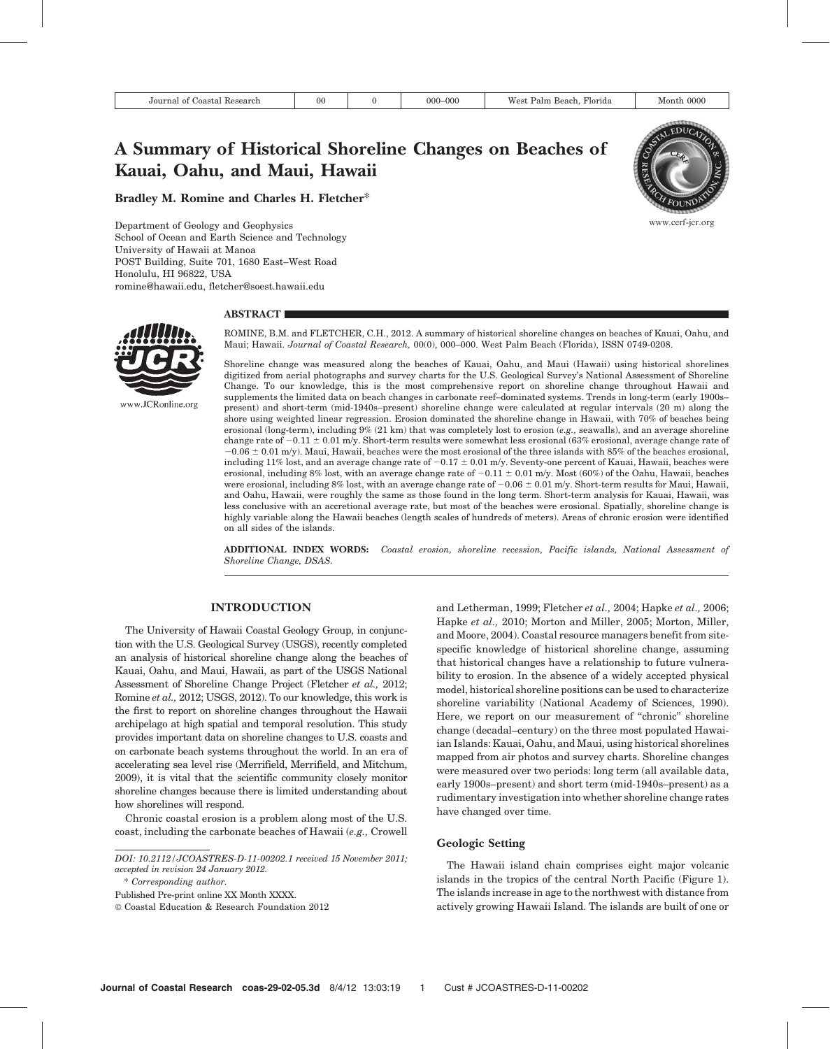# A Summary of Historical Shoreline Changes on Beaches of Kauai, Oahu, and Maui, Hawaii

Bradley M. Romine and Charles H. Fletcher\*

Department of Geology and Geophysics School of Ocean and Earth Science and Technology University of Hawaii at Manoa POST Building, Suite 701, 1680 East–West Road Honolulu, HI 96822, USA romine@hawaii.edu, fletcher@soest.hawaii.edu



www.cerf-jcr.org



www.JCRonline.org

# **ABSTRACT**

ROMINE, B.M. and FLETCHER, C.H., 2012. A summary of historical shoreline changes on beaches of Kauai, Oahu, and Maui; Hawaii. Journal of Coastal Research, 00(0), 000–000. West Palm Beach (Florida), ISSN 0749-0208.

Shoreline change was measured along the beaches of Kauai, Oahu, and Maui (Hawaii) using historical shorelines digitized from aerial photographs and survey charts for the U.S. Geological Survey's National Assessment of Shoreline Change. To our knowledge, this is the most comprehensive report on shoreline change throughout Hawaii and supplements the limited data on beach changes in carbonate reef–dominated systems. Trends in long-term (early 1900s– present) and short-term (mid-1940s–present) shoreline change were calculated at regular intervals (20 m) along the shore using weighted linear regression. Erosion dominated the shoreline change in Hawaii, with 70% of beaches being erosional (long-term), including  $9\%$  (21 km) that was completely lost to erosion (e.g., seawalls), and an average shoreline change rate of  $-0.11 \pm 0.01$  m/y. Short-term results were somewhat less erosional (63% erosional, average change rate of  $-0.06 \pm 0.01$  m/y). Maui, Hawaii, beaches were the most erosional of the three islands with 85% of the beaches erosional. including 11% lost, and an average change rate of  $-0.17 \pm 0.01$  m/y. Seventy-one percent of Kauai, Hawaii, beaches were erosional, including 8% lost, with an average change rate of  $-0.11 \pm 0.01$  m/y. Most (60%) of the Oahu, Hawaii, beaches were erosional, including 8% lost, with an average change rate of  $-0.06 \pm 0.01$  m/y. Short-term results for Maui, Hawaii, and Oahu, Hawaii, were roughly the same as those found in the long term. Short-term analysis for Kauai, Hawaii, was less conclusive with an accretional average rate, but most of the beaches were erosional. Spatially, shoreline change is highly variable along the Hawaii beaches (length scales of hundreds of meters). Areas of chronic erosion were identified on all sides of the islands.

ADDITIONAL INDEX WORDS: Coastal erosion, shoreline recession, Pacific islands, National Assessment of Shoreline Change, DSAS.

# INTRODUCTION

The University of Hawaii Coastal Geology Group, in conjunction with the U.S. Geological Survey (USGS), recently completed an analysis of historical shoreline change along the beaches of Kauai, Oahu, and Maui, Hawaii, as part of the USGS National Assessment of Shoreline Change Project (Fletcher et al., 2012; Romine et al., 2012; USGS, 2012). To our knowledge, this work is the first to report on shoreline changes throughout the Hawaii archipelago at high spatial and temporal resolution. This study provides important data on shoreline changes to U.S. coasts and on carbonate beach systems throughout the world. In an era of accelerating sea level rise (Merrifield, Merrifield, and Mitchum, 2009), it is vital that the scientific community closely monitor shoreline changes because there is limited understanding about how shorelines will respond.

Chronic coastal erosion is a problem along most of the U.S. coast, including the carbonate beaches of Hawaii (e.g., Crowell

 $*$  Corresponding author.

and Letherman, 1999; Fletcher et al., 2004; Hapke et al., 2006; Hapke et al., 2010; Morton and Miller, 2005; Morton, Miller, and Moore, 2004). Coastal resource managers benefit from sitespecific knowledge of historical shoreline change, assuming that historical changes have a relationship to future vulnerability to erosion. In the absence of a widely accepted physical model, historical shoreline positions can be used to characterize shoreline variability (National Academy of Sciences, 1990). Here, we report on our measurement of ''chronic'' shoreline change (decadal–century) on the three most populated Hawaiian Islands: Kauai, Oahu, and Maui, using historical shorelines mapped from air photos and survey charts. Shoreline changes were measured over two periods: long term (all available data, early 1900s–present) and short term (mid-1940s–present) as a rudimentary investigation into whether shoreline change rates have changed over time.

## Geologic Setting

The Hawaii island chain comprises eight major volcanic islands in the tropics of the central North Pacific (Figure 1). The islands increase in age to the northwest with distance from actively growing Hawaii Island. The islands are built of one or

DOI: 10.2112/JCOASTRES-D-11-00202.1 received 15 November 2011; accepted in revision 24 January 2012.

Published Pre-print online XX Month XXXX.

<sup>©</sup> Coastal Education & Research Foundation 2012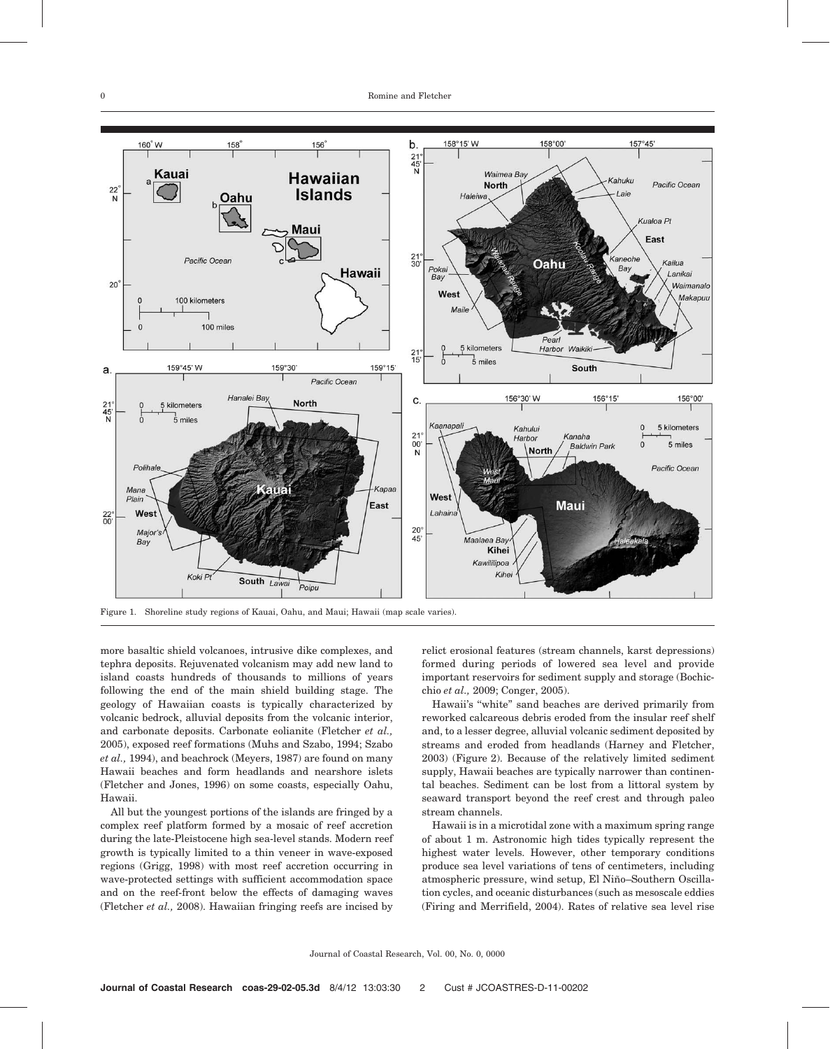

Figure 1. Shoreline study regions of Kauai, Oahu, and Maui; Hawaii (map scale varies).

more basaltic shield volcanoes, intrusive dike complexes, and tephra deposits. Rejuvenated volcanism may add new land to island coasts hundreds of thousands to millions of years following the end of the main shield building stage. The geology of Hawaiian coasts is typically characterized by volcanic bedrock, alluvial deposits from the volcanic interior, and carbonate deposits. Carbonate eolianite (Fletcher et al., 2005), exposed reef formations (Muhs and Szabo, 1994; Szabo et al., 1994), and beachrock (Meyers, 1987) are found on many Hawaii beaches and form headlands and nearshore islets (Fletcher and Jones, 1996) on some coasts, especially Oahu, Hawaii.

All but the youngest portions of the islands are fringed by a complex reef platform formed by a mosaic of reef accretion during the late-Pleistocene high sea-level stands. Modern reef growth is typically limited to a thin veneer in wave-exposed regions (Grigg, 1998) with most reef accretion occurring in wave-protected settings with sufficient accommodation space and on the reef-front below the effects of damaging waves (Fletcher et al., 2008). Hawaiian fringing reefs are incised by

relict erosional features (stream channels, karst depressions) formed during periods of lowered sea level and provide important reservoirs for sediment supply and storage (Bochicchio et al., 2009; Conger, 2005).

Hawaii's "white" sand beaches are derived primarily from reworked calcareous debris eroded from the insular reef shelf and, to a lesser degree, alluvial volcanic sediment deposited by streams and eroded from headlands (Harney and Fletcher, 2003) (Figure 2). Because of the relatively limited sediment supply, Hawaii beaches are typically narrower than continental beaches. Sediment can be lost from a littoral system by seaward transport beyond the reef crest and through paleo stream channels.

Hawaii is in a microtidal zone with a maximum spring range of about 1 m. Astronomic high tides typically represent the highest water levels. However, other temporary conditions produce sea level variations of tens of centimeters, including atmospheric pressure, wind setup, El Niño-Southern Oscillation cycles, and oceanic disturbances (such as mesoscale eddies (Firing and Merrifield, 2004). Rates of relative sea level rise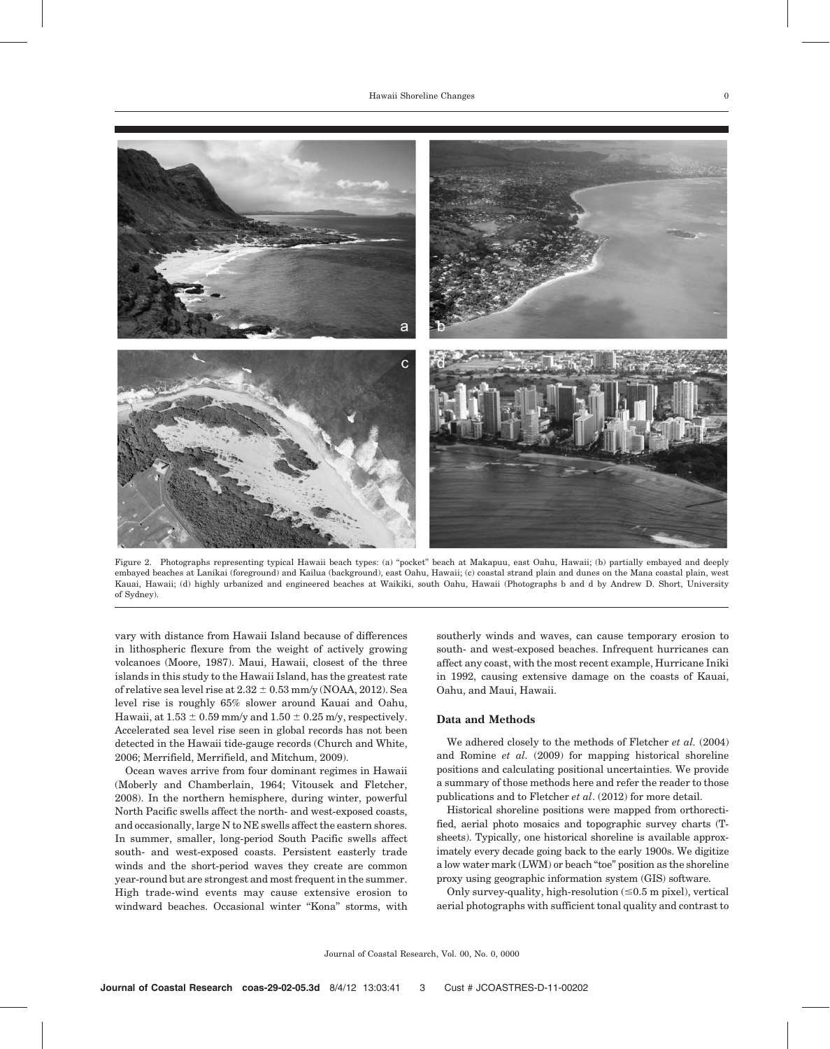

Figure 2. Photographs representing typical Hawaii beach types: (a) ''pocket'' beach at Makapuu, east Oahu, Hawaii; (b) partially embayed and deeply embayed beaches at Lanikai (foreground) and Kailua (background), east Oahu, Hawaii; (c) coastal strand plain and dunes on the Mana coastal plain, west Kauai, Hawaii; (d) highly urbanized and engineered beaches at Waikiki, south Oahu, Hawaii (Photographs b and d by Andrew D. Short, University of Sydney).

vary with distance from Hawaii Island because of differences in lithospheric flexure from the weight of actively growing volcanoes (Moore, 1987). Maui, Hawaii, closest of the three islands in this study to the Hawaii Island, has the greatest rate of relative sea level rise at  $2.32 \pm 0.53$  mm/y (NOAA, 2012). Sea level rise is roughly 65% slower around Kauai and Oahu, Hawaii, at  $1.53 \pm 0.59$  mm/y and  $1.50 \pm 0.25$  m/y, respectively. Accelerated sea level rise seen in global records has not been detected in the Hawaii tide-gauge records (Church and White, 2006; Merrifield, Merrifield, and Mitchum, 2009).

Ocean waves arrive from four dominant regimes in Hawaii (Moberly and Chamberlain, 1964; Vitousek and Fletcher, 2008). In the northern hemisphere, during winter, powerful North Pacific swells affect the north- and west-exposed coasts, and occasionally, large N to NE swells affect the eastern shores. In summer, smaller, long-period South Pacific swells affect south- and west-exposed coasts. Persistent easterly trade winds and the short-period waves they create are common year-round but are strongest and most frequent in the summer. High trade-wind events may cause extensive erosion to windward beaches. Occasional winter ''Kona'' storms, with southerly winds and waves, can cause temporary erosion to south- and west-exposed beaches. Infrequent hurricanes can affect any coast, with the most recent example, Hurricane Iniki in 1992, causing extensive damage on the coasts of Kauai, Oahu, and Maui, Hawaii.

#### Data and Methods

We adhered closely to the methods of Fletcher et al. (2004) and Romine et al. (2009) for mapping historical shoreline positions and calculating positional uncertainties. We provide a summary of those methods here and refer the reader to those publications and to Fletcher et al. (2012) for more detail.

Historical shoreline positions were mapped from orthorectified, aerial photo mosaics and topographic survey charts (Tsheets). Typically, one historical shoreline is available approximately every decade going back to the early 1900s. We digitize a low water mark (LWM) or beach ''toe'' position as the shoreline proxy using geographic information system (GIS) software.

Only survey-quality, high-resolution  $(\leq 0.5$  m pixel), vertical aerial photographs with sufficient tonal quality and contrast to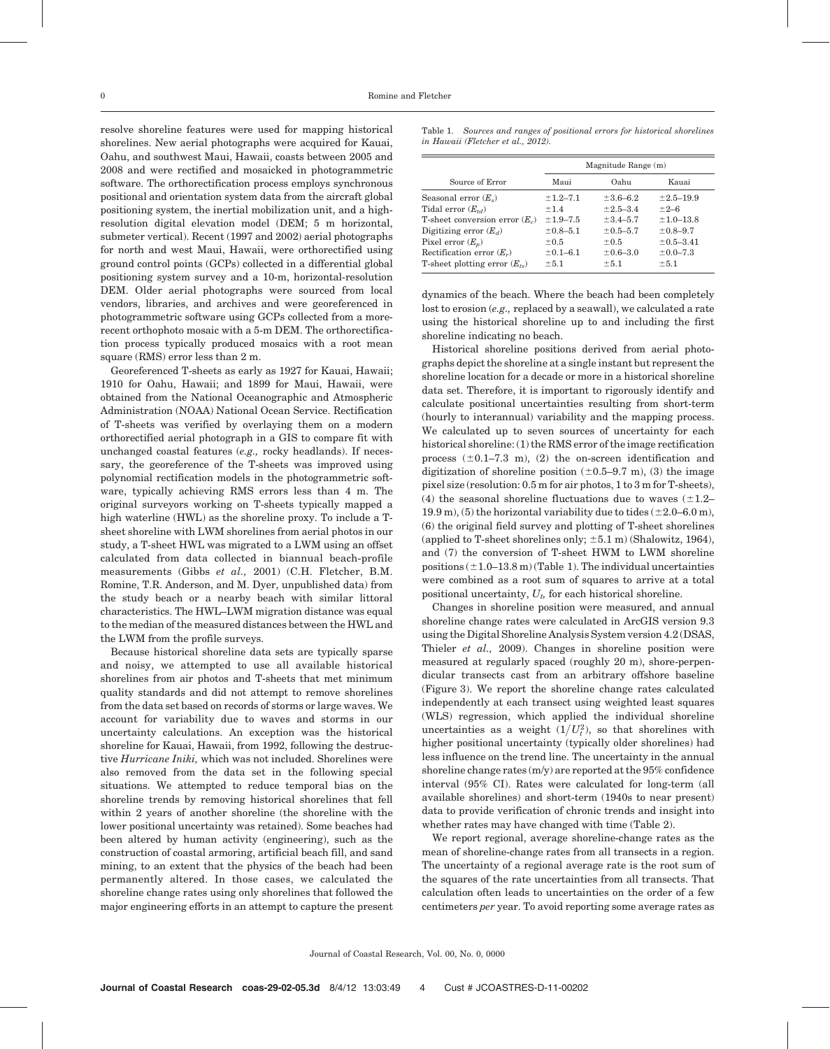resolve shoreline features were used for mapping historical shorelines. New aerial photographs were acquired for Kauai, Oahu, and southwest Maui, Hawaii, coasts between 2005 and 2008 and were rectified and mosaicked in photogrammetric software. The orthorectification process employs synchronous positional and orientation system data from the aircraft global positioning system, the inertial mobilization unit, and a highresolution digital elevation model (DEM; 5 m horizontal, submeter vertical). Recent (1997 and 2002) aerial photographs for north and west Maui, Hawaii, were orthorectified using ground control points (GCPs) collected in a differential global positioning system survey and a 10-m, horizontal-resolution DEM. Older aerial photographs were sourced from local vendors, libraries, and archives and were georeferenced in photogrammetric software using GCPs collected from a morerecent orthophoto mosaic with a 5-m DEM. The orthorectification process typically produced mosaics with a root mean square (RMS) error less than 2 m.

Georeferenced T-sheets as early as 1927 for Kauai, Hawaii; 1910 for Oahu, Hawaii; and 1899 for Maui, Hawaii, were obtained from the National Oceanographic and Atmospheric Administration (NOAA) National Ocean Service. Rectification of T-sheets was verified by overlaying them on a modern orthorectified aerial photograph in a GIS to compare fit with unchanged coastal features (e.g., rocky headlands). If necessary, the georeference of the T-sheets was improved using polynomial rectification models in the photogrammetric software, typically achieving RMS errors less than 4 m. The original surveyors working on T-sheets typically mapped a high waterline (HWL) as the shoreline proxy. To include a Tsheet shoreline with LWM shorelines from aerial photos in our study, a T-sheet HWL was migrated to a LWM using an offset calculated from data collected in biannual beach-profile measurements (Gibbs et al., 2001) (C.H. Fletcher, B.M. Romine, T.R. Anderson, and M. Dyer, unpublished data) from the study beach or a nearby beach with similar littoral characteristics. The HWL–LWM migration distance was equal to the median of the measured distances between the HWL and the LWM from the profile surveys.

Because historical shoreline data sets are typically sparse and noisy, we attempted to use all available historical shorelines from air photos and T-sheets that met minimum quality standards and did not attempt to remove shorelines from the data set based on records of storms or large waves. We account for variability due to waves and storms in our uncertainty calculations. An exception was the historical shoreline for Kauai, Hawaii, from 1992, following the destructive Hurricane Iniki, which was not included. Shorelines were also removed from the data set in the following special situations. We attempted to reduce temporal bias on the shoreline trends by removing historical shorelines that fell within 2 years of another shoreline (the shoreline with the lower positional uncertainty was retained). Some beaches had been altered by human activity (engineering), such as the construction of coastal armoring, artificial beach fill, and sand mining, to an extent that the physics of the beach had been permanently altered. In those cases, we calculated the shoreline change rates using only shorelines that followed the major engineering efforts in an attempt to capture the present

Table 1. Sources and ranges of positional errors for historical shorelines in Hawaii (Fletcher et al., 2012).

|                                   | Magnitude Range (m) |                 |                  |  |
|-----------------------------------|---------------------|-----------------|------------------|--|
| Source of Error                   | Maui<br>Oahu        |                 | Kauai            |  |
| Seasonal error $(E_{s})$          | $±1.2-7.1$          | $\pm 3.6 - 6.2$ | $\pm 2.5 - 19.9$ |  |
| Tidal error $(E_{td})$            | ±1.4                | $\pm 2.5 - 3.4$ | $\pm 2 - 6$      |  |
| T-sheet conversion error $(E_c)$  | $±1.9-7.5$          | $\pm 3.4 - 5.7$ | $±1.0-13.8$      |  |
| Digitizing error $(E_d)$          | $±0.8-5.1$          | $\pm 0.5 - 5.7$ | $±0.8-9.7$       |  |
| Pixel error $(E_n)$               | $\pm 0.5$           | $\pm 0.5$       | $\pm 0.5 - 3.41$ |  |
| Rectification error $(E_r)$       | $±0.1-6.1$          | $±0.6 - 3.0$    | $±0.0 - 7.3$     |  |
| T-sheet plotting error $(E_{ts})$ | ±5.1                | ±5.1            | $\pm 5.1$        |  |

dynamics of the beach. Where the beach had been completely lost to erosion (e.g., replaced by a seawall), we calculated a rate using the historical shoreline up to and including the first shoreline indicating no beach.

Historical shoreline positions derived from aerial photographs depict the shoreline at a single instant but represent the shoreline location for a decade or more in a historical shoreline data set. Therefore, it is important to rigorously identify and calculate positional uncertainties resulting from short-term (hourly to interannual) variability and the mapping process. We calculated up to seven sources of uncertainty for each historical shoreline: (1) the RMS error of the image rectification process  $(\pm 0.1-7.3 \text{ m})$ , (2) the on-screen identification and digitization of shoreline position  $(\pm 0.5-9.7 \text{ m})$ , (3) the image pixel size (resolution: 0.5 m for air photos, 1 to 3 m for T-sheets), (4) the seasonal shoreline fluctuations due to waves  $(\pm 1.2 -$ 19.9 m), (5) the horizontal variability due to tides  $(\pm 2.0-6.0 \text{ m})$ , (6) the original field survey and plotting of T-sheet shorelines (applied to T-sheet shorelines only;  $\pm 5.1$  m) (Shalowitz, 1964), and (7) the conversion of T-sheet HWM to LWM shoreline positions  $(\pm 1.0 - 13.8 \text{ m})$  (Table 1). The individual uncertainties were combined as a root sum of squares to arrive at a total positional uncertainty,  $U_t$ , for each historical shoreline.

Changes in shoreline position were measured, and annual shoreline change rates were calculated in ArcGIS version 9.3 using the Digital Shoreline Analysis System version 4.2 (DSAS, Thieler et al., 2009). Changes in shoreline position were measured at regularly spaced (roughly 20 m), shore-perpendicular transects cast from an arbitrary offshore baseline (Figure 3). We report the shoreline change rates calculated independently at each transect using weighted least squares (WLS) regression, which applied the individual shoreline uncertainties as a weight  $(1/U_t^2)$ , so that shorelines with higher positional uncertainty (typically older shorelines) had less influence on the trend line. The uncertainty in the annual shoreline change rates (m/y) are reported at the 95% confidence interval (95% CI). Rates were calculated for long-term (all available shorelines) and short-term (1940s to near present) data to provide verification of chronic trends and insight into whether rates may have changed with time (Table 2).

We report regional, average shoreline-change rates as the mean of shoreline-change rates from all transects in a region. The uncertainty of a regional average rate is the root sum of the squares of the rate uncertainties from all transects. That calculation often leads to uncertainties on the order of a few centimeters per year. To avoid reporting some average rates as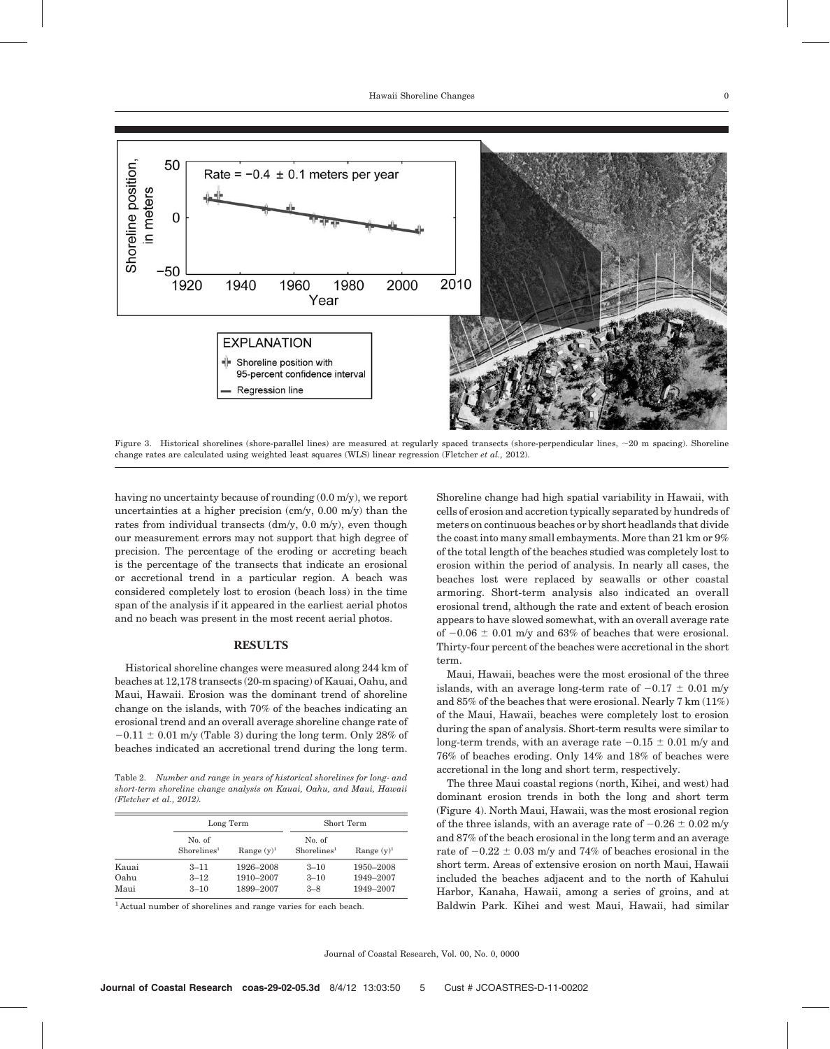

Figure 3. Historical shorelines (shore-parallel lines) are measured at regularly spaced transects (shore-perpendicular lines,  $\sim$ 20 m spacing). Shoreline change rates are calculated using weighted least squares (WLS) linear regression (Fletcher et al., 2012).

having no uncertainty because of rounding (0.0 m/y), we report uncertainties at a higher precision  $\text{(cm/y, 0.00 m/y)}$  than the rates from individual transects (dm/y, 0.0 m/y), even though our measurement errors may not support that high degree of precision. The percentage of the eroding or accreting beach is the percentage of the transects that indicate an erosional or accretional trend in a particular region. A beach was considered completely lost to erosion (beach loss) in the time span of the analysis if it appeared in the earliest aerial photos and no beach was present in the most recent aerial photos.

#### **RESULTS**

Historical shoreline changes were measured along 244 km of beaches at 12,178 transects (20-m spacing) of Kauai, Oahu, and Maui, Hawaii. Erosion was the dominant trend of shoreline change on the islands, with 70% of the beaches indicating an erosional trend and an overall average shoreline change rate of  $-0.11 \pm 0.01$  m/y (Table 3) during the long term. Only 28% of beaches indicated an accretional trend during the long term.

Table 2. Number and range in years of historical shorelines for long- and short-term shoreline change analysis on Kauai, Oahu, and Maui, Hawaii (Fletcher et al., 2012).

|                       |                                   | Long Term                           | Short Term                      |                                     |  |
|-----------------------|-----------------------------------|-------------------------------------|---------------------------------|-------------------------------------|--|
|                       | No. of<br>Shorelines <sup>1</sup> | Range $(v)^1$                       |                                 | Range $(v)^1$                       |  |
| Kauai<br>Oahu<br>Maui | $3 - 11$<br>$3 - 12$<br>$3 - 10$  | 1926-2008<br>1910-2007<br>1899-2007 | $3 - 10$<br>$3 - 10$<br>$3 - 8$ | 1950-2008<br>1949-2007<br>1949-2007 |  |

<sup>1</sup> Actual number of shorelines and range varies for each beach.

Shoreline change had high spatial variability in Hawaii, with cells of erosion and accretion typically separated by hundreds of meters on continuous beaches or by short headlands that divide the coast into many small embayments. More than 21 km or 9% of the total length of the beaches studied was completely lost to erosion within the period of analysis. In nearly all cases, the beaches lost were replaced by seawalls or other coastal armoring. Short-term analysis also indicated an overall erosional trend, although the rate and extent of beach erosion appears to have slowed somewhat, with an overall average rate of  $-0.06 \pm 0.01$  m/y and 63% of beaches that were erosional. Thirty-four percent of the beaches were accretional in the short term.

Maui, Hawaii, beaches were the most erosional of the three islands, with an average long-term rate of  $-0.17 \pm 0.01$  m/y and 85% of the beaches that were erosional. Nearly 7 km (11%) of the Maui, Hawaii, beaches were completely lost to erosion during the span of analysis. Short-term results were similar to long-term trends, with an average rate  $-0.15 \pm 0.01$  m/y and 76% of beaches eroding. Only 14% and 18% of beaches were accretional in the long and short term, respectively.

The three Maui coastal regions (north, Kihei, and west) had dominant erosion trends in both the long and short term (Figure 4). North Maui, Hawaii, was the most erosional region of the three islands, with an average rate of  $-0.26 \pm 0.02$  m/y and 87% of the beach erosional in the long term and an average rate of  $-0.22 \pm 0.03$  m/y and 74% of beaches erosional in the short term. Areas of extensive erosion on north Maui, Hawaii included the beaches adjacent and to the north of Kahului Harbor, Kanaha, Hawaii, among a series of groins, and at Baldwin Park. Kihei and west Maui, Hawaii, had similar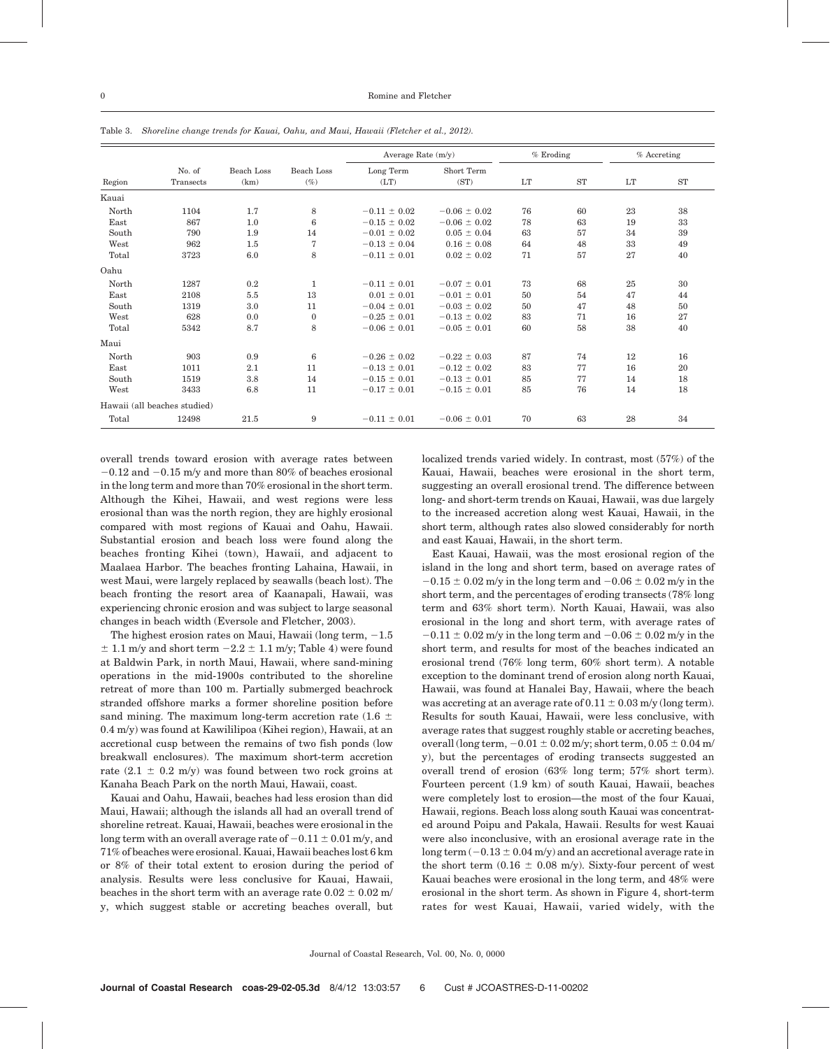|        | No. of<br>Beach Loss<br>(km)<br>Transects |      | Average Rate (m/y)          |                   | $%$ Eroding        |    | % Accreting |    |           |
|--------|-------------------------------------------|------|-----------------------------|-------------------|--------------------|----|-------------|----|-----------|
| Region |                                           |      | <b>Beach Loss</b><br>$(\%)$ | Long Term<br>(LT) | Short Term<br>(ST) | LT | <b>ST</b>   | LT | <b>ST</b> |
| Kauai  |                                           |      |                             |                   |                    |    |             |    |           |
| North  | 1104                                      | 1.7  | 8                           | $-0.11 \pm 0.02$  | $-0.06 \pm 0.02$   | 76 | 60          | 23 | 38        |
| East   | 867                                       | 1.0  | 6                           | $-0.15 \pm 0.02$  | $-0.06 \pm 0.02$   | 78 | 63          | 19 | 33        |
| South  | 790                                       | 1.9  | 14                          | $-0.01 \pm 0.02$  | $0.05 \pm 0.04$    | 63 | 57          | 34 | 39        |
| West   | 962                                       | 1.5  | 7                           | $-0.13 \pm 0.04$  | $0.16 \pm 0.08$    | 64 | 48          | 33 | 49        |
| Total  | 3723                                      | 6.0  | 8                           | $-0.11 \pm 0.01$  | $0.02 \pm 0.02$    | 71 | 57          | 27 | 40        |
| Oahu   |                                           |      |                             |                   |                    |    |             |    |           |
| North  | 1287                                      | 0.2  | 1                           | $-0.11 \pm 0.01$  | $-0.07 \pm 0.01$   | 73 | 68          | 25 | 30        |
| East   | 2108                                      | 5.5  | 13                          | $0.01 \pm 0.01$   | $-0.01 \pm 0.01$   | 50 | 54          | 47 | 44        |
| South  | 1319                                      | 3.0  | 11                          | $-0.04 \pm 0.01$  | $-0.03 \pm 0.02$   | 50 | 47          | 48 | 50        |
| West   | 628                                       | 0.0  | $\mathbf{0}$                | $-0.25 \pm 0.01$  | $-0.13 \pm 0.02$   | 83 | 71          | 16 | 27        |
| Total  | 5342                                      | 8.7  | 8                           | $-0.06 \pm 0.01$  | $-0.05 \pm 0.01$   | 60 | 58          | 38 | 40        |
| Maui   |                                           |      |                             |                   |                    |    |             |    |           |
| North  | 903                                       | 0.9  | 6                           | $-0.26 \pm 0.02$  | $-0.22 \pm 0.03$   | 87 | 74          | 12 | 16        |
| East   | 1011                                      | 2.1  | 11                          | $-0.13 \pm 0.01$  | $-0.12 \pm 0.02$   | 83 | 77          | 16 | 20        |
| South  | 1519                                      | 3.8  | 14                          | $-0.15 \pm 0.01$  | $-0.13 \pm 0.01$   | 85 | 77          | 14 | 18        |
| West   | 3433                                      | 6.8  | 11                          | $-0.17 \pm 0.01$  | $-0.15 \pm 0.01$   | 85 | 76          | 14 | 18        |
|        | Hawaii (all beaches studied)              |      |                             |                   |                    |    |             |    |           |
| Total  | 12498                                     | 21.5 | 9                           | $-0.11 \pm 0.01$  | $-0.06 \pm 0.01$   | 70 | 63          | 28 | 34        |

Table 3. Shoreline change trends for Kauai, Oahu, and Maui, Hawaii (Fletcher et al., 2012).

overall trends toward erosion with average rates between  $-0.12$  and  $-0.15$  m/y and more than 80% of beaches erosional in the long term and more than 70% erosional in the short term. Although the Kihei, Hawaii, and west regions were less erosional than was the north region, they are highly erosional compared with most regions of Kauai and Oahu, Hawaii. Substantial erosion and beach loss were found along the beaches fronting Kihei (town), Hawaii, and adjacent to Maalaea Harbor. The beaches fronting Lahaina, Hawaii, in west Maui, were largely replaced by seawalls (beach lost). The beach fronting the resort area of Kaanapali, Hawaii, was experiencing chronic erosion and was subject to large seasonal changes in beach width (Eversole and Fletcher, 2003).

The highest erosion rates on Maui, Hawaii (long term,  $-1.5$ )  $\pm$  1.1 m/y and short term  $-2.2 \pm 1.1$  m/y; Table 4) were found at Baldwin Park, in north Maui, Hawaii, where sand-mining operations in the mid-1900s contributed to the shoreline retreat of more than 100 m. Partially submerged beachrock stranded offshore marks a former shoreline position before sand mining. The maximum long-term accretion rate  $(1.6 \pm$ 0.4 m/y) was found at Kawililipoa (Kihei region), Hawaii, at an accretional cusp between the remains of two fish ponds (low breakwall enclosures). The maximum short-term accretion rate  $(2.1 \pm 0.2 \text{ m/y})$  was found between two rock groins at Kanaha Beach Park on the north Maui, Hawaii, coast.

Kauai and Oahu, Hawaii, beaches had less erosion than did Maui, Hawaii; although the islands all had an overall trend of shoreline retreat. Kauai, Hawaii, beaches were erosional in the long term with an overall average rate of  $-0.11 \pm 0.01$  m/y, and 71% of beaches were erosional. Kauai, Hawaii beaches lost 6 km or 8% of their total extent to erosion during the period of analysis. Results were less conclusive for Kauai, Hawaii, beaches in the short term with an average rate  $0.02 \pm 0.02$  m/ y, which suggest stable or accreting beaches overall, but localized trends varied widely. In contrast, most (57%) of the Kauai, Hawaii, beaches were erosional in the short term, suggesting an overall erosional trend. The difference between long- and short-term trends on Kauai, Hawaii, was due largely to the increased accretion along west Kauai, Hawaii, in the short term, although rates also slowed considerably for north and east Kauai, Hawaii, in the short term.

East Kauai, Hawaii, was the most erosional region of the island in the long and short term, based on average rates of  $-0.15 \pm 0.02$  m/y in the long term and  $-0.06 \pm 0.02$  m/y in the short term, and the percentages of eroding transects (78% long term and 63% short term). North Kauai, Hawaii, was also erosional in the long and short term, with average rates of  $-0.11 \pm 0.02$  m/y in the long term and  $-0.06 \pm 0.02$  m/y in the short term, and results for most of the beaches indicated an erosional trend (76% long term, 60% short term). A notable exception to the dominant trend of erosion along north Kauai, Hawaii, was found at Hanalei Bay, Hawaii, where the beach was accreting at an average rate of  $0.11 \pm 0.03$  m/y (long term). Results for south Kauai, Hawaii, were less conclusive, with average rates that suggest roughly stable or accreting beaches, overall (long term,  $-0.01 \pm 0.02$  m/y; short term,  $0.05 \pm 0.04$  m/ y), but the percentages of eroding transects suggested an overall trend of erosion (63% long term; 57% short term). Fourteen percent (1.9 km) of south Kauai, Hawaii, beaches were completely lost to erosion—the most of the four Kauai, Hawaii, regions. Beach loss along south Kauai was concentrated around Poipu and Pakala, Hawaii. Results for west Kauai were also inconclusive, with an erosional average rate in the long term  $(-0.13 \pm 0.04 \text{ m/y})$  and an accretional average rate in the short term  $(0.16 \pm 0.08 \text{ m/y})$ . Sixty-four percent of west Kauai beaches were erosional in the long term, and 48% were erosional in the short term. As shown in Figure 4, short-term rates for west Kauai, Hawaii, varied widely, with the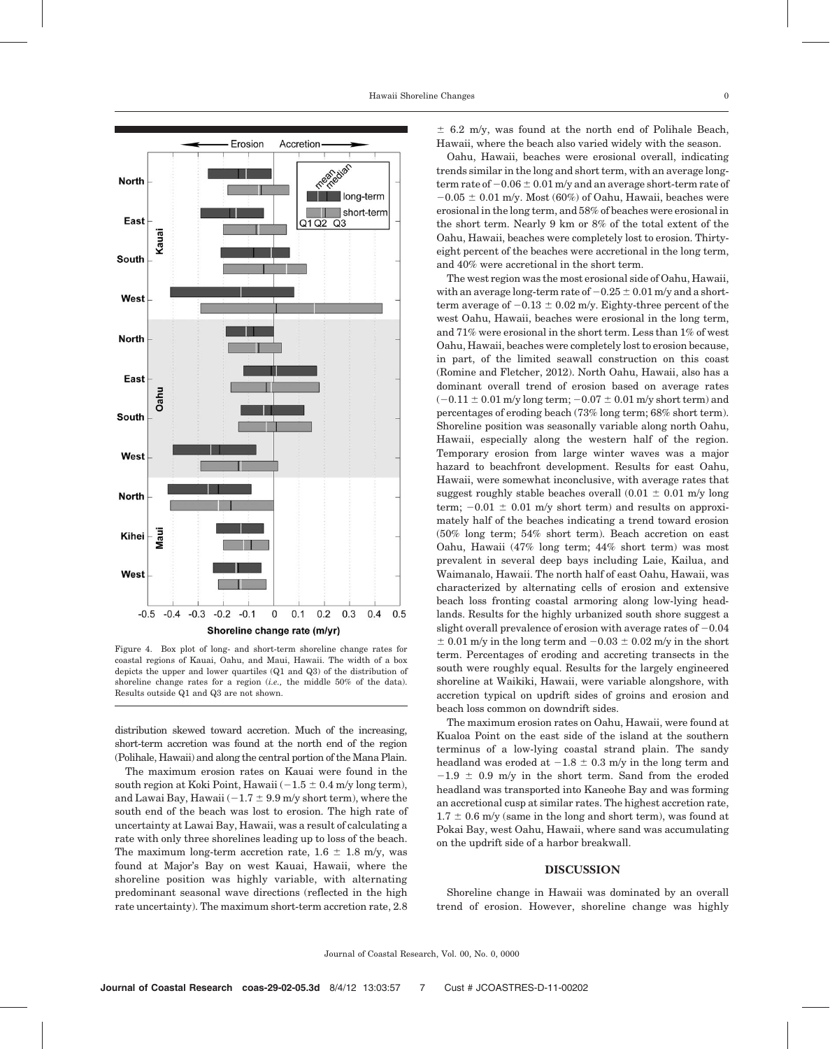

Figure 4. Box plot of long- and short-term shoreline change rates for coastal regions of Kauai, Oahu, and Maui, Hawaii. The width of a box depicts the upper and lower quartiles (Q1 and Q3) of the distribution of shoreline change rates for a region (i.e., the middle 50% of the data). Results outside Q1 and Q3 are not shown.

distribution skewed toward accretion. Much of the increasing, short-term accretion was found at the north end of the region (Polihale, Hawaii) and along the central portion of the Mana Plain.

The maximum erosion rates on Kauai were found in the south region at Koki Point, Hawaii  $(-1.5 \pm 0.4 \text{ m/y} \text{ long term})$ , and Lawai Bay, Hawaii ( $-1.7 \pm 9.9$  m/y short term), where the south end of the beach was lost to erosion. The high rate of uncertainty at Lawai Bay, Hawaii, was a result of calculating a rate with only three shorelines leading up to loss of the beach. The maximum long-term accretion rate,  $1.6 \pm 1.8$  m/y, was found at Major's Bay on west Kauai, Hawaii, where the shoreline position was highly variable, with alternating predominant seasonal wave directions (reflected in the high rate uncertainty). The maximum short-term accretion rate, 2.8

 $\pm$  6.2 m/y, was found at the north end of Polihale Beach, Hawaii, where the beach also varied widely with the season.

Oahu, Hawaii, beaches were erosional overall, indicating trends similar in the long and short term, with an average longterm rate of  $-0.06 \pm 0.01$  m/y and an average short-term rate of  $-0.05 \pm 0.01$  m/y. Most (60%) of Oahu, Hawaii, beaches were erosional in the long term, and 58% of beaches were erosional in the short term. Nearly 9 km or 8% of the total extent of the Oahu, Hawaii, beaches were completely lost to erosion. Thirtyeight percent of the beaches were accretional in the long term, and 40% were accretional in the short term.

The west region was the most erosional side of Oahu, Hawaii, with an average long-term rate of  $-0.25 \pm 0.01$  m/y and a shortterm average of  $-0.13 \pm 0.02$  m/y. Eighty-three percent of the west Oahu, Hawaii, beaches were erosional in the long term, and 71% were erosional in the short term. Less than 1% of west Oahu, Hawaii, beaches were completely lost to erosion because, in part, of the limited seawall construction on this coast (Romine and Fletcher, 2012). North Oahu, Hawaii, also has a dominant overall trend of erosion based on average rates  $(-0.11 \pm 0.01 \,\text{m/y} \,\text{long term}; -0.07 \pm 0.01 \,\text{m/y} \,\text{short term})$  and percentages of eroding beach (73% long term; 68% short term). Shoreline position was seasonally variable along north Oahu, Hawaii, especially along the western half of the region. Temporary erosion from large winter waves was a major hazard to beachfront development. Results for east Oahu, Hawaii, were somewhat inconclusive, with average rates that suggest roughly stable beaches overall  $(0.01 \pm 0.01 \text{ m/y} \text{ long})$ term;  $-0.01 \pm 0.01$  m/y short term) and results on approximately half of the beaches indicating a trend toward erosion (50% long term; 54% short term). Beach accretion on east Oahu, Hawaii (47% long term; 44% short term) was most prevalent in several deep bays including Laie, Kailua, and Waimanalo, Hawaii. The north half of east Oahu, Hawaii, was characterized by alternating cells of erosion and extensive beach loss fronting coastal armoring along low-lying headlands. Results for the highly urbanized south shore suggest a slight overall prevalence of erosion with average rates of  $-0.04$  $\pm$  0.01 m/y in the long term and  $-0.03 \pm 0.02$  m/y in the short term. Percentages of eroding and accreting transects in the south were roughly equal. Results for the largely engineered shoreline at Waikiki, Hawaii, were variable alongshore, with accretion typical on updrift sides of groins and erosion and beach loss common on downdrift sides.

The maximum erosion rates on Oahu, Hawaii, were found at Kualoa Point on the east side of the island at the southern terminus of a low-lying coastal strand plain. The sandy headland was eroded at  $-1.8 \pm 0.3$  m/y in the long term and  $-1.9 \pm 0.9$  m/y in the short term. Sand from the eroded headland was transported into Kaneohe Bay and was forming an accretional cusp at similar rates. The highest accretion rate,  $1.7 \pm 0.6$  m/y (same in the long and short term), was found at Pokai Bay, west Oahu, Hawaii, where sand was accumulating on the updrift side of a harbor breakwall.

#### DISCUSSION

Shoreline change in Hawaii was dominated by an overall trend of erosion. However, shoreline change was highly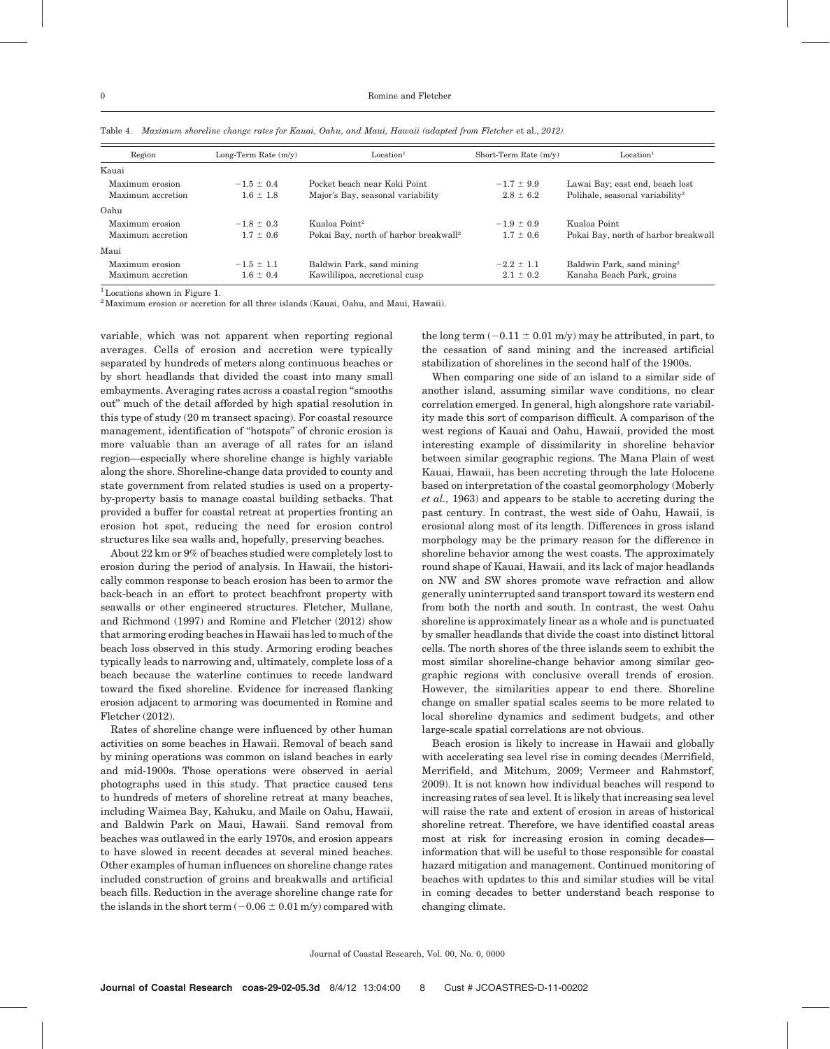| Region            | Long-Term Rate $(m/v)$ | Location <sup>1</sup>                             | Short-Term Rate $(m/v)$ | Location <sup>1</sup>                       |
|-------------------|------------------------|---------------------------------------------------|-------------------------|---------------------------------------------|
| Kauai             |                        |                                                   |                         |                                             |
| Maximum erosion   | $-1.5 \pm 0.4$         | Pocket beach near Koki Point                      | $-1.7 \pm 9.9$          | Lawai Bay; east end, beach lost             |
| Maximum accretion | $1.6 \pm 1.8$          | Major's Bay, seasonal variability                 | $2.8 \pm 6.2$           | Polihale, seasonal variability <sup>2</sup> |
| Oahu              |                        |                                                   |                         |                                             |
| Maximum erosion   | $-1.8 \pm 0.3$         | Kualoa Point <sup>2</sup>                         | $-1.9 \pm 0.9$          | Kualoa Point                                |
| Maximum accretion | $1.7 \pm 0.6$          | Pokai Bay, north of harbor breakwall <sup>2</sup> | $1.7 \pm 0.6$           | Pokai Bay, north of harbor breakwall        |
| Maui              |                        |                                                   |                         |                                             |
| Maximum erosion   | $-1.5 \pm 1.1$         | Baldwin Park, sand mining                         | $-2.2 \pm 1.1$          | Baldwin Park, sand mining <sup>2</sup>      |
| Maximum accretion | $1.6 \pm 0.4$          | Kawililipoa, accretional cusp                     | $2.1 \pm 0.2$           | Kanaha Beach Park, groins                   |

Table 4. Maximum shoreline change rates for Kauai, Oahu, and Maui, Hawaii (adapted from Fletcher et al., 2012).

1Locations shown in Figure 1.

<sup>2</sup> Maximum erosion or accretion for all three islands (Kauai, Oahu, and Maui, Hawaii).

variable, which was not apparent when reporting regional averages. Cells of erosion and accretion were typically separated by hundreds of meters along continuous beaches or by short headlands that divided the coast into many small embayments. Averaging rates across a coastal region ''smooths out'' much of the detail afforded by high spatial resolution in this type of study (20 m transect spacing). For coastal resource management, identification of ''hotspots'' of chronic erosion is more valuable than an average of all rates for an island region—especially where shoreline change is highly variable along the shore. Shoreline-change data provided to county and state government from related studies is used on a propertyby-property basis to manage coastal building setbacks. That provided a buffer for coastal retreat at properties fronting an erosion hot spot, reducing the need for erosion control structures like sea walls and, hopefully, preserving beaches.

About 22 km or 9% of beaches studied were completely lost to erosion during the period of analysis. In Hawaii, the historically common response to beach erosion has been to armor the back-beach in an effort to protect beachfront property with seawalls or other engineered structures. Fletcher, Mullane, and Richmond (1997) and Romine and Fletcher (2012) show that armoring eroding beaches in Hawaii has led to much of the beach loss observed in this study. Armoring eroding beaches typically leads to narrowing and, ultimately, complete loss of a beach because the waterline continues to recede landward toward the fixed shoreline. Evidence for increased flanking erosion adjacent to armoring was documented in Romine and Fletcher (2012).

Rates of shoreline change were influenced by other human activities on some beaches in Hawaii. Removal of beach sand by mining operations was common on island beaches in early and mid-1900s. Those operations were observed in aerial photographs used in this study. That practice caused tens to hundreds of meters of shoreline retreat at many beaches, including Waimea Bay, Kahuku, and Maile on Oahu, Hawaii, and Baldwin Park on Maui, Hawaii. Sand removal from beaches was outlawed in the early 1970s, and erosion appears to have slowed in recent decades at several mined beaches. Other examples of human influences on shoreline change rates included construction of groins and breakwalls and artificial beach fills. Reduction in the average shoreline change rate for the islands in the short term  $(-0.06 \pm 0.01 \text{ m/y})$  compared with

the long term  $(-0.11 \pm 0.01 \text{ m/y})$  may be attributed, in part, to the cessation of sand mining and the increased artificial stabilization of shorelines in the second half of the 1900s.

When comparing one side of an island to a similar side of another island, assuming similar wave conditions, no clear correlation emerged. In general, high alongshore rate variability made this sort of comparison difficult. A comparison of the west regions of Kauai and Oahu, Hawaii, provided the most interesting example of dissimilarity in shoreline behavior between similar geographic regions. The Mana Plain of west Kauai, Hawaii, has been accreting through the late Holocene based on interpretation of the coastal geomorphology (Moberly et al., 1963) and appears to be stable to accreting during the past century. In contrast, the west side of Oahu, Hawaii, is erosional along most of its length. Differences in gross island morphology may be the primary reason for the difference in shoreline behavior among the west coasts. The approximately round shape of Kauai, Hawaii, and its lack of major headlands on NW and SW shores promote wave refraction and allow generally uninterrupted sand transport toward its western end from both the north and south. In contrast, the west Oahu shoreline is approximately linear as a whole and is punctuated by smaller headlands that divide the coast into distinct littoral cells. The north shores of the three islands seem to exhibit the most similar shoreline-change behavior among similar geographic regions with conclusive overall trends of erosion. However, the similarities appear to end there. Shoreline change on smaller spatial scales seems to be more related to local shoreline dynamics and sediment budgets, and other large-scale spatial correlations are not obvious.

Beach erosion is likely to increase in Hawaii and globally with accelerating sea level rise in coming decades (Merrifield, Merrifield, and Mitchum, 2009; Vermeer and Rahmstorf, 2009). It is not known how individual beaches will respond to increasing rates of sea level. It is likely that increasing sea level will raise the rate and extent of erosion in areas of historical shoreline retreat. Therefore, we have identified coastal areas most at risk for increasing erosion in coming decades information that will be useful to those responsible for coastal hazard mitigation and management. Continued monitoring of beaches with updates to this and similar studies will be vital in coming decades to better understand beach response to changing climate.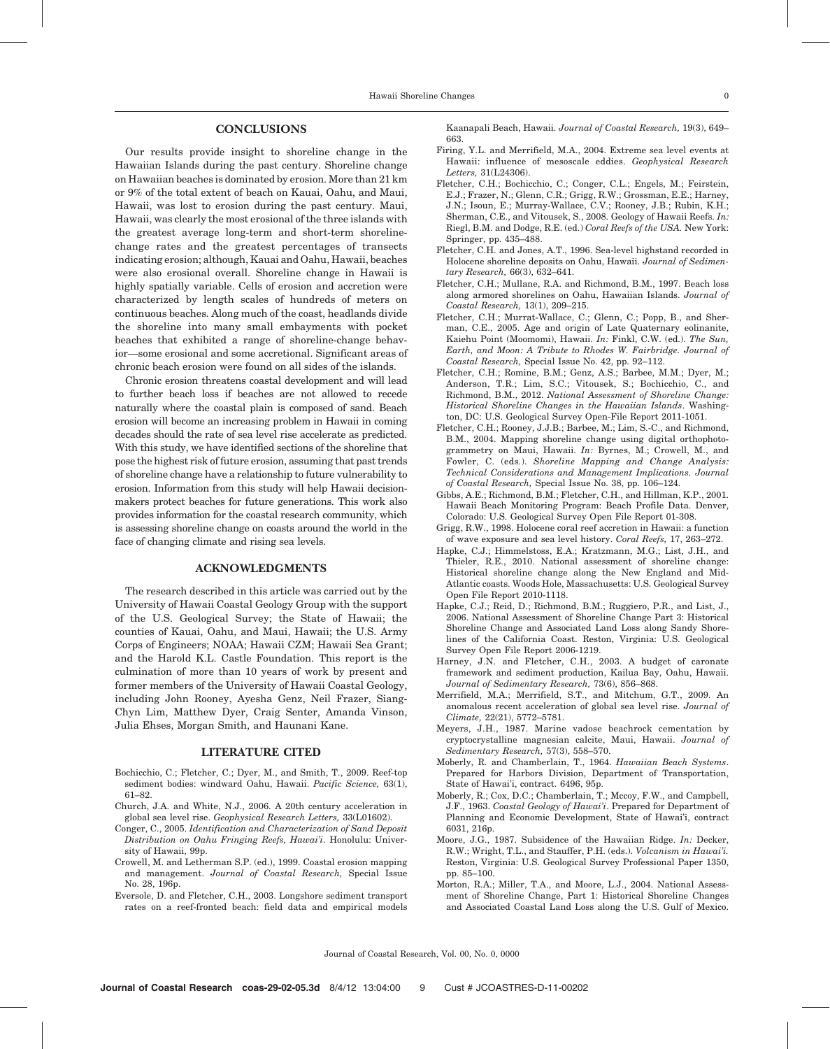### **CONCLUSIONS**

Our results provide insight to shoreline change in the Hawaiian Islands during the past century. Shoreline change on Hawaiian beaches is dominated by erosion. More than 21 km or 9% of the total extent of beach on Kauai, Oahu, and Maui, Hawaii, was lost to erosion during the past century. Maui, Hawaii, was clearly the most erosional of the three islands with the greatest average long-term and short-term shorelinechange rates and the greatest percentages of transects indicating erosion; although, Kauai and Oahu, Hawaii, beaches were also erosional overall. Shoreline change in Hawaii is highly spatially variable. Cells of erosion and accretion were characterized by length scales of hundreds of meters on continuous beaches. Along much of the coast, headlands divide the shoreline into many small embayments with pocket beaches that exhibited a range of shoreline-change behavior—some erosional and some accretional. Significant areas of chronic beach erosion were found on all sides of the islands.

Chronic erosion threatens coastal development and will lead to further beach loss if beaches are not allowed to recede naturally where the coastal plain is composed of sand. Beach erosion will become an increasing problem in Hawaii in coming decades should the rate of sea level rise accelerate as predicted. With this study, we have identified sections of the shoreline that pose the highest risk of future erosion, assuming that past trends of shoreline change have a relationship to future vulnerability to erosion. Information from this study will help Hawaii decisionmakers protect beaches for future generations. This work also provides information for the coastal research community, which is assessing shoreline change on coasts around the world in the face of changing climate and rising sea levels.

### ACKNOWLEDGMENTS

The research described in this article was carried out by the University of Hawaii Coastal Geology Group with the support of the U.S. Geological Survey; the State of Hawaii; the counties of Kauai, Oahu, and Maui, Hawaii; the U.S. Army Corps of Engineers; NOAA; Hawaii CZM; Hawaii Sea Grant; and the Harold K.L. Castle Foundation. This report is the culmination of more than 10 years of work by present and former members of the University of Hawaii Coastal Geology, including John Rooney, Ayesha Genz, Neil Frazer, Siang-Chyn Lim, Matthew Dyer, Craig Senter, Amanda Vinson, Julia Ehses, Morgan Smith, and Haunani Kane.

#### LITERATURE CITED

- Bochicchio, C.; Fletcher, C.; Dyer, M., and Smith, T., 2009. Reef-top sediment bodies: windward Oahu, Hawaii. Pacific Science, 63(1), 61–82.
- Church, J.A. and White, N.J., 2006. A 20th century acceleration in global sea level rise. Geophysical Research Letters, 33(L01602).
- Conger, C., 2005. Identification and Characterization of Sand Deposit Distribution on Oahu Fringing Reefs, Hawai'i. Honolulu: University of Hawaii, 99p.
- Crowell, M. and Letherman S.P. (ed.), 1999. Coastal erosion mapping and management. Journal of Coastal Research, Special Issue No. 28, 196p.
- Eversole, D. and Fletcher, C.H., 2003. Longshore sediment transport rates on a reef-fronted beach: field data and empirical models

Kaanapali Beach, Hawaii. Journal of Coastal Research, 19(3), 649– 663.

- Firing, Y.L. and Merrifield, M.A., 2004. Extreme sea level events at Hawaii: influence of mesoscale eddies. Geophysical Research Letters, 31(L24306).
- Fletcher, C.H.; Bochicchio, C.; Conger, C.L.; Engels, M.; Feirstein, E.J.; Frazer, N.; Glenn, C.R.; Grigg, R.W.; Grossman, E.E.; Harney, J.N.; Isoun, E.; Murray-Wallace, C.V.; Rooney, J.B.; Rubin, K.H.; Sherman, C.E., and Vitousek, S., 2008. Geology of Hawaii Reefs. In: Riegl, B.M. and Dodge, R.E. (ed.) Coral Reefs of the USA. New York: Springer, pp. 435–488.
- Fletcher, C.H. and Jones, A.T., 1996. Sea-level highstand recorded in Holocene shoreline deposits on Oahu, Hawaii. Journal of Sedimentary Research, 66(3), 632–641.
- Fletcher, C.H.; Mullane, R.A. and Richmond, B.M., 1997. Beach loss along armored shorelines on Oahu, Hawaiian Islands. Journal of Coastal Research, 13(1), 209–215.
- Fletcher, C.H.; Murrat-Wallace, C.; Glenn, C.; Popp, B., and Sherman, C.E., 2005. Age and origin of Late Quaternary eolinanite, Kaiehu Point (Moomomi), Hawaii. In: Finkl, C.W. (ed.). The Sun, Earth, and Moon: A Tribute to Rhodes W. Fairbridge. Journal of Coastal Research, Special Issue No. 42, pp. 92–112.
- Fletcher, C.H.; Romine, B.M.; Genz, A.S.; Barbee, M.M.; Dyer, M.; Anderson, T.R.; Lim, S.C.; Vitousek, S.; Bochicchio, C., and Richmond, B.M., 2012. National Assessment of Shoreline Change: Historical Shoreline Changes in the Hawaiian Islands. Washington, DC: U.S. Geological Survey Open-File Report 2011-1051.
- Fletcher, C.H.; Rooney, J.J.B.; Barbee, M.; Lim, S.-C., and Richmond, B.M., 2004. Mapping shoreline change using digital orthophotogrammetry on Maui, Hawaii. In: Byrnes, M.; Crowell, M., and Fowler, C. (eds.). Shoreline Mapping and Change Analysis: Technical Considerations and Management Implications. Journal of Coastal Research, Special Issue No. 38, pp. 106–124.
- Gibbs, A.E.; Richmond, B.M.; Fletcher, C.H., and Hillman, K.P., 2001. Hawaii Beach Monitoring Program: Beach Profile Data. Denver, Colorado: U.S. Geological Survey Open File Report 01-308.
- Grigg, R.W., 1998. Holocene coral reef accretion in Hawaii: a function of wave exposure and sea level history. Coral Reefs, 17, 263–272.
- Hapke, C.J.; Himmelstoss, E.A.; Kratzmann, M.G.; List, J.H., and Thieler, R.E., 2010. National assessment of shoreline change: Historical shoreline change along the New England and Mid-Atlantic coasts. Woods Hole, Massachusetts: U.S. Geological Survey Open File Report 2010-1118.
- Hapke, C.J.; Reid, D.; Richmond, B.M.; Ruggiero, P.R., and List, J., 2006. National Assessment of Shoreline Change Part 3: Historical Shoreline Change and Associated Land Loss along Sandy Shorelines of the California Coast. Reston, Virginia: U.S. Geological Survey Open File Report 2006-1219.
- Harney, J.N. and Fletcher, C.H., 2003. A budget of caronate framework and sediment production, Kailua Bay, Oahu, Hawaii. Journal of Sedimentary Research, 73(6), 856–868.
- Merrifield, M.A.; Merrifield, S.T., and Mitchum, G.T., 2009. An anomalous recent acceleration of global sea level rise. Journal of Climate, 22(21), 5772–5781.
- Meyers, J.H., 1987. Marine vadose beachrock cementation by cryptocrystalline magnesian calcite, Maui, Hawaii. Journal of Sedimentary Research, 57(3), 558–570.
- Moberly, R. and Chamberlain, T., 1964. Hawaiian Beach Systems. Prepared for Harbors Division, Department of Transportation, State of Hawai'i, contract. 6496, 95p.
- Moberly, R.; Cox, D.C.; Chamberlain, T.; Mccoy, F.W., and Campbell, J.F., 1963. Coastal Geology of Hawai'i. Prepared for Department of Planning and Economic Development, State of Hawai'i, contract 6031, 216p.
- Moore, J.G., 1987. Subsidence of the Hawaiian Ridge. In: Decker. R.W.; Wright, T.L., and Stauffer, P.H. (eds.). Volcanism in Hawai'i. Reston, Virginia: U.S. Geological Survey Professional Paper 1350, pp. 85–100.
- Morton, R.A.; Miller, T.A., and Moore, L.J., 2004. National Assessment of Shoreline Change, Part 1: Historical Shoreline Changes and Associated Coastal Land Loss along the U.S. Gulf of Mexico.